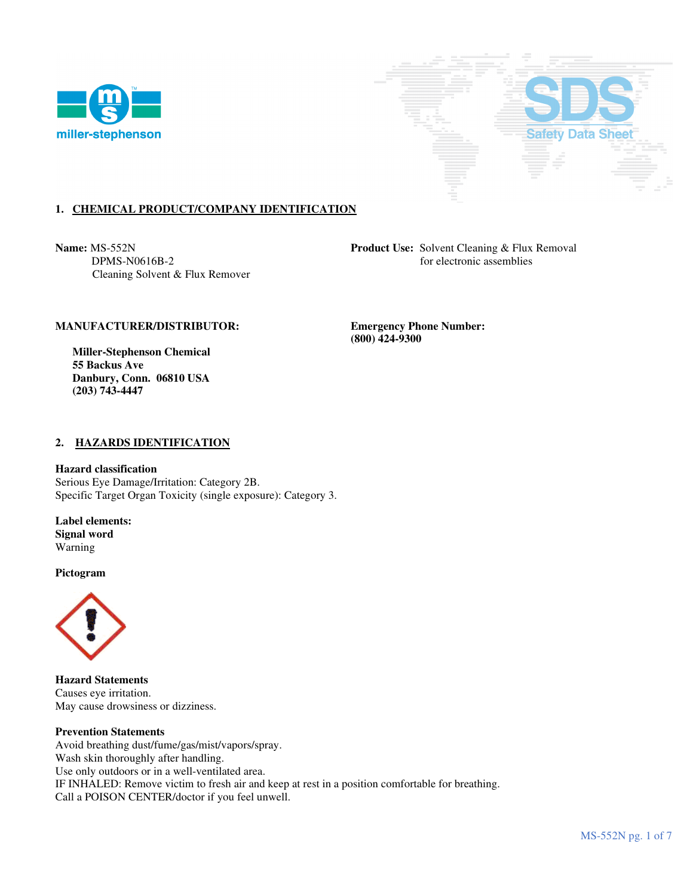



# **1. CHEMICAL PRODUCT/COMPANY IDENTIFICATION**

Cleaning Solvent & Flux Remover

**Name:** MS-552N **Product Use:** Solvent Cleaning & Flux Removal DPMS-N0616B-2 for electronic assemblies

### **MANUFACTURER/DISTRIBUTOR: Emergency Phone Number:**

 **Miller-Stephenson Chemical 55 Backus Ave Danbury, Conn. 06810 USA (203) 743-4447** 

 **(800) 424-9300** 

### **2. HAZARDS IDENTIFICATION**

#### **Hazard classification**

Serious Eye Damage/Irritation: Category 2B. Specific Target Organ Toxicity (single exposure): Category 3.

**Label elements: Signal word**  Warning

**Pictogram**



**Hazard Statements**  Causes eye irritation. May cause drowsiness or dizziness.

#### **Prevention Statements**

Avoid breathing dust/fume/gas/mist/vapors/spray. Wash skin thoroughly after handling. Use only outdoors or in a well-ventilated area. IF INHALED: Remove victim to fresh air and keep at rest in a position comfortable for breathing. Call a POISON CENTER/doctor if you feel unwell.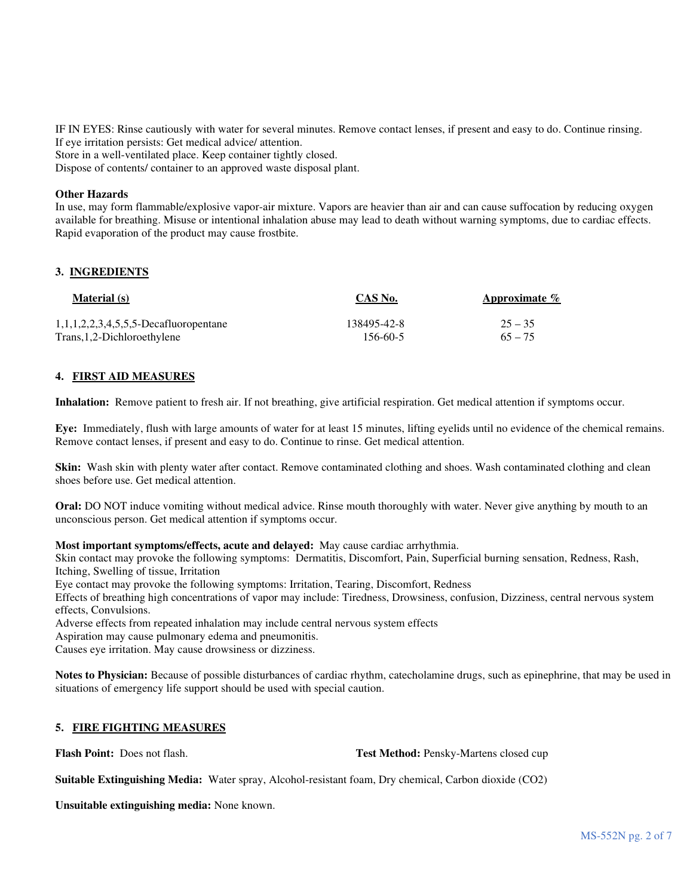IF IN EYES: Rinse cautiously with water for several minutes. Remove contact lenses, if present and easy to do. Continue rinsing. If eye irritation persists: Get medical advice/ attention.

Store in a well-ventilated place. Keep container tightly closed.

Dispose of contents/ container to an approved waste disposal plant.

#### **Other Hazards**

In use, may form flammable/explosive vapor-air mixture. Vapors are heavier than air and can cause suffocation by reducing oxygen available for breathing. Misuse or intentional inhalation abuse may lead to death without warning symptoms, due to cardiac effects. Rapid evaporation of the product may cause frostbite.

#### **3. INGREDIENTS**

| <b>Material</b> (s)                                 | CAS No.     | Approximate $\%$ |
|-----------------------------------------------------|-------------|------------------|
| 1, 1, 1, 2, 2, 3, 4, 5, 5, 5 - Decard u or opentane | 138495-42-8 | $25 - 35$        |
| Trans, 1, 2-Dichloroethylene                        | 156-60-5    | $65 - 75$        |

### **4. FIRST AID MEASURES**

**Inhalation:** Remove patient to fresh air. If not breathing, give artificial respiration. Get medical attention if symptoms occur.

**Eye:** Immediately, flush with large amounts of water for at least 15 minutes, lifting eyelids until no evidence of the chemical remains. Remove contact lenses, if present and easy to do. Continue to rinse. Get medical attention.

**Skin:** Wash skin with plenty water after contact. Remove contaminated clothing and shoes. Wash contaminated clothing and clean shoes before use. Get medical attention.

**Oral:** DO NOT induce vomiting without medical advice. Rinse mouth thoroughly with water. Never give anything by mouth to an unconscious person. Get medical attention if symptoms occur.

**Most important symptoms/effects, acute and delayed:** May cause cardiac arrhythmia.

Skin contact may provoke the following symptoms: Dermatitis, Discomfort, Pain, Superficial burning sensation, Redness, Rash, Itching, Swelling of tissue, Irritation

Eye contact may provoke the following symptoms: Irritation, Tearing, Discomfort, Redness

Effects of breathing high concentrations of vapor may include: Tiredness, Drowsiness, confusion, Dizziness, central nervous system effects, Convulsions.

Adverse effects from repeated inhalation may include central nervous system effects

Aspiration may cause pulmonary edema and pneumonitis.

Causes eye irritation. May cause drowsiness or dizziness.

**Notes to Physician:** Because of possible disturbances of cardiac rhythm, catecholamine drugs, such as epinephrine, that may be used in situations of emergency life support should be used with special caution.

## **5. FIRE FIGHTING MEASURES**

**Flash Point:** Does not flash. **Test Method:** Pensky-Martens closed cup

**Suitable Extinguishing Media:** Water spray, Alcohol-resistant foam, Dry chemical, Carbon dioxide (CO2)

**Unsuitable extinguishing media:** None known.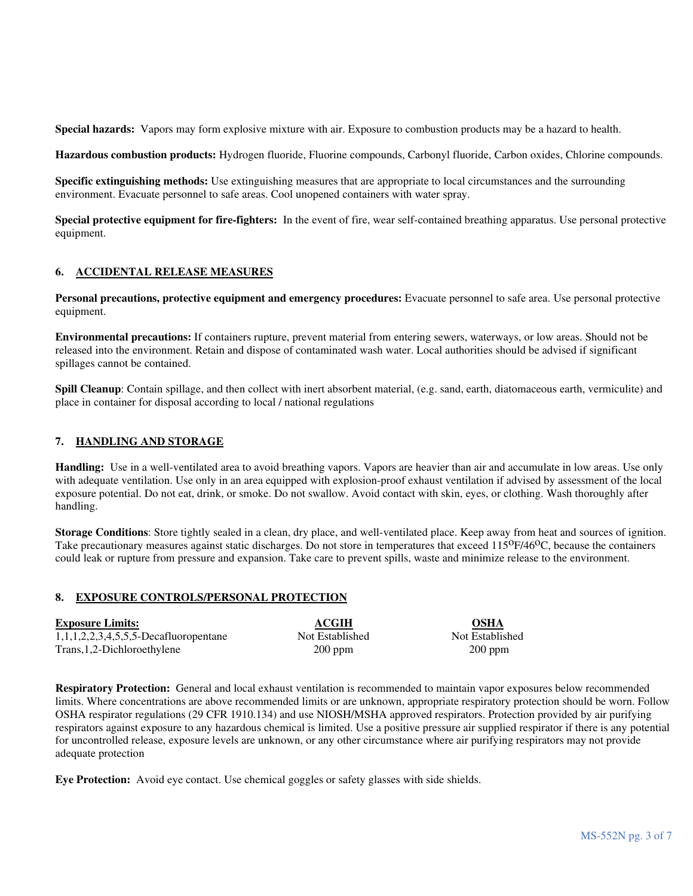**Special hazards:** Vapors may form explosive mixture with air. Exposure to combustion products may be a hazard to health.

**Hazardous combustion products:** Hydrogen fluoride, Fluorine compounds, Carbonyl fluoride, Carbon oxides, Chlorine compounds.

**Specific extinguishing methods:** Use extinguishing measures that are appropriate to local circumstances and the surrounding environment. Evacuate personnel to safe areas. Cool unopened containers with water spray.

**Special protective equipment for fire-fighters:** In the event of fire, wear self-contained breathing apparatus. Use personal protective equipment.

### **6. ACCIDENTAL RELEASE MEASURES**

**Personal precautions, protective equipment and emergency procedures:** Evacuate personnel to safe area. Use personal protective equipment.

**Environmental precautions:** If containers rupture, prevent material from entering sewers, waterways, or low areas. Should not be released into the environment. Retain and dispose of contaminated wash water. Local authorities should be advised if significant spillages cannot be contained.

**Spill Cleanup**: Contain spillage, and then collect with inert absorbent material, (e.g. sand, earth, diatomaceous earth, vermiculite) and place in container for disposal according to local / national regulations

## **7. HANDLING AND STORAGE**

**Handling:** Use in a well-ventilated area to avoid breathing vapors. Vapors are heavier than air and accumulate in low areas. Use only with adequate ventilation. Use only in an area equipped with explosion-proof exhaust ventilation if advised by assessment of the local exposure potential. Do not eat, drink, or smoke. Do not swallow. Avoid contact with skin, eyes, or clothing. Wash thoroughly after handling.

**Storage Conditions**: Store tightly sealed in a clean, dry place, and well-ventilated place. Keep away from heat and sources of ignition. Take precautionary measures against static discharges. Do not store in temperatures that exceed 115<sup>o</sup>F/46<sup>o</sup>C, because the containers could leak or rupture from pressure and expansion. Take care to prevent spills, waste and minimize release to the environment.

## **8. EXPOSURE CONTROLS/PERSONAL PROTECTION**

| <b>Exposure Limits:</b>                  | ACGIH           | <b>OSHA</b>     |
|------------------------------------------|-----------------|-----------------|
| $1,1,1,2,2,3,4,5,5,5$ -Decafluoropentane | Not Established | Not Established |
| Trans, 1, 2-Dichloroethylene             | $200$ ppm       | $200$ ppm       |

**Respiratory Protection:** General and local exhaust ventilation is recommended to maintain vapor exposures below recommended limits. Where concentrations are above recommended limits or are unknown, appropriate respiratory protection should be worn. Follow OSHA respirator regulations (29 CFR 1910.134) and use NIOSH/MSHA approved respirators. Protection provided by air purifying respirators against exposure to any hazardous chemical is limited. Use a positive pressure air supplied respirator if there is any potential for uncontrolled release, exposure levels are unknown, or any other circumstance where air purifying respirators may not provide adequate protection

**Eye Protection:** Avoid eye contact. Use chemical goggles or safety glasses with side shields.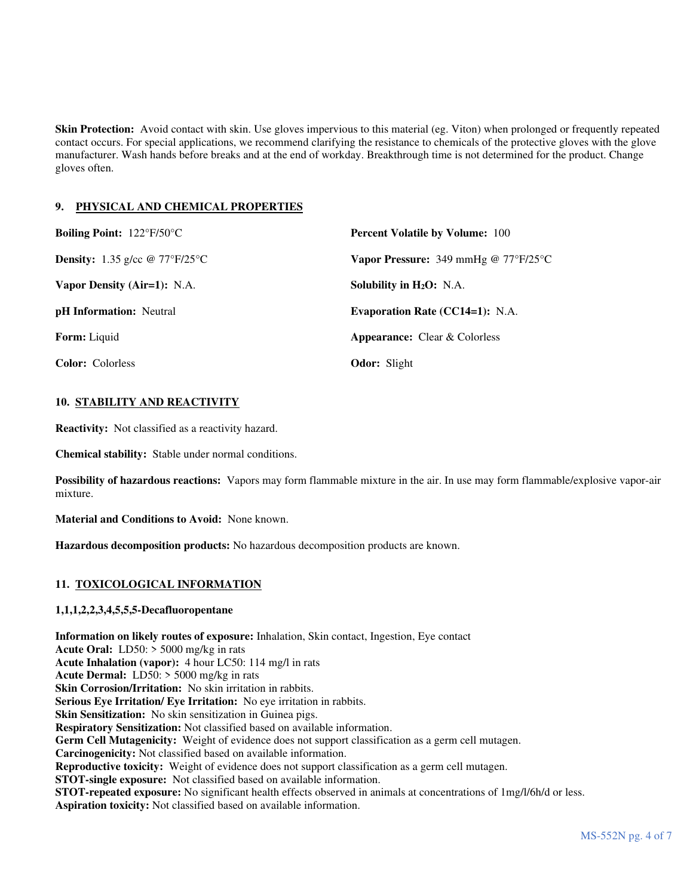**Skin Protection:** Avoid contact with skin. Use gloves impervious to this material (eg. Viton) when prolonged or frequently repeated contact occurs. For special applications, we recommend clarifying the resistance to chemicals of the protective gloves with the glove manufacturer. Wash hands before breaks and at the end of workday. Breakthrough time is not determined for the product. Change gloves often.

## **9. PHYSICAL AND CHEMICAL PROPERTIES**

| <b>Boiling Point:</b> $122^{\circ}F/50^{\circ}C$ | <b>Percent Volatile by Volume: 100</b>                      |  |
|--------------------------------------------------|-------------------------------------------------------------|--|
| <b>Density:</b> 1.35 g/cc $\omega$ 77°F/25°C     | <b>Vapor Pressure:</b> 349 mmHg @ $77^{\circ}F/25^{\circ}C$ |  |
| Vapor Density (Air=1): N.A.                      | Solubility in $H_2O$ : N.A.                                 |  |
| <b>pH</b> Information: Neutral                   | Evaporation Rate $(CC14=1)$ : N.A.                          |  |
| <b>Form:</b> Liquid                              | <b>Appearance:</b> Clear & Colorless                        |  |
| <b>Color:</b> Colorless                          | <b>Odor:</b> Slight                                         |  |

## **10. STABILITY AND REACTIVITY**

**Reactivity:** Not classified as a reactivity hazard.

**Chemical stability:** Stable under normal conditions.

**Possibility of hazardous reactions:** Vapors may form flammable mixture in the air. In use may form flammable/explosive vapor-air mixture.

**Material and Conditions to Avoid:** None known.

**Hazardous decomposition products:** No hazardous decomposition products are known.

# **11. TOXICOLOGICAL INFORMATION**

## **1,1,1,2,2,3,4,5,5,5-Decafluoropentane**

**Information on likely routes of exposure:** Inhalation, Skin contact, Ingestion, Eye contact **Acute Oral:** LD50: > 5000 mg/kg in rats **Acute Inhalation (vapor):** 4 hour LC50: 114 mg/l in rats **Acute Dermal:** LD50: > 5000 mg/kg in rats **Skin Corrosion/Irritation:** No skin irritation in rabbits. **Serious Eye Irritation/ Eye Irritation:** No eye irritation in rabbits. **Skin Sensitization:** No skin sensitization in Guinea pigs. **Respiratory Sensitization:** Not classified based on available information. **Germ Cell Mutagenicity:** Weight of evidence does not support classification as a germ cell mutagen. **Carcinogenicity:** Not classified based on available information. **Reproductive toxicity:** Weight of evidence does not support classification as a germ cell mutagen. **STOT-single exposure:** Not classified based on available information. **STOT-repeated exposure:** No significant health effects observed in animals at concentrations of 1mg/l/6h/d or less. **Aspiration toxicity:** Not classified based on available information.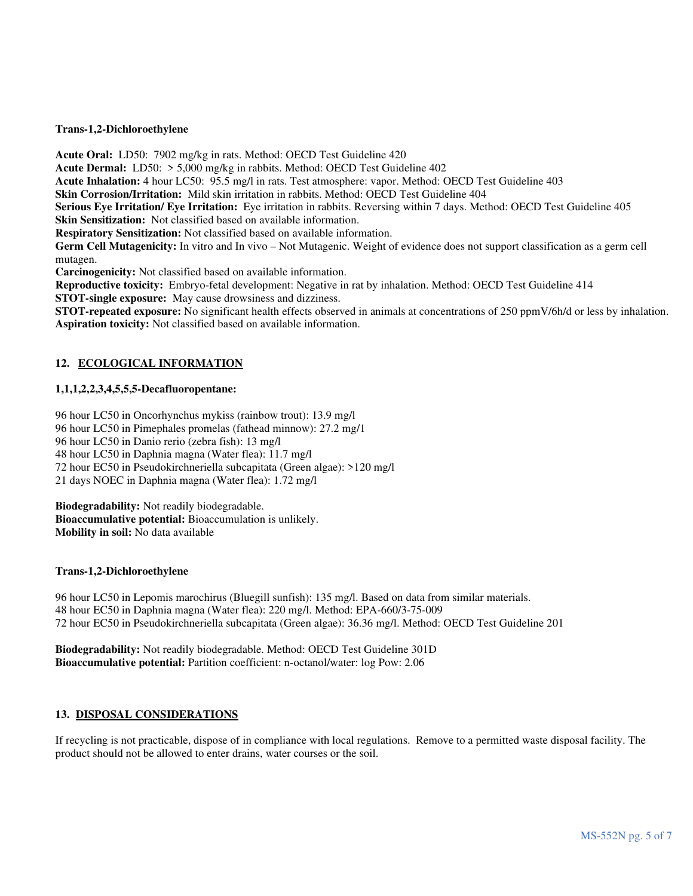#### **Trans-1,2-Dichloroethylene**

**Acute Oral:** LD50: 7902 mg/kg in rats. Method: OECD Test Guideline 420

**Acute Dermal:** LD50: > 5,000 mg/kg in rabbits. Method: OECD Test Guideline 402

**Acute Inhalation:** 4 hour LC50: 95.5 mg/l in rats. Test atmosphere: vapor. Method: OECD Test Guideline 403

**Skin Corrosion/Irritation:** Mild skin irritation in rabbits. Method: OECD Test Guideline 404

**Serious Eye Irritation/ Eye Irritation:** Eye irritation in rabbits. Reversing within 7 days. Method: OECD Test Guideline 405 **Skin Sensitization:** Not classified based on available information.

**Respiratory Sensitization:** Not classified based on available information.

**Germ Cell Mutagenicity:** In vitro and In vivo – Not Mutagenic. Weight of evidence does not support classification as a germ cell mutagen.

**Carcinogenicity:** Not classified based on available information.

**Reproductive toxicity:** Embryo-fetal development: Negative in rat by inhalation. Method: OECD Test Guideline 414

**STOT-single exposure:** May cause drowsiness and dizziness.

**STOT-repeated exposure:** No significant health effects observed in animals at concentrations of 250 ppmV/6h/d or less by inhalation. **Aspiration toxicity:** Not classified based on available information.

## **12. ECOLOGICAL INFORMATION**

## **1,1,1,2,2,3,4,5,5,5-Decafluoropentane:**

96 hour LC50 in Oncorhynchus mykiss (rainbow trout): 13.9 mg/l

96 hour LC50 in Pimephales promelas (fathead minnow): 27.2 mg/1

96 hour LC50 in Danio rerio (zebra fish): 13 mg/l

48 hour LC50 in Daphnia magna (Water flea): 11.7 mg/l

72 hour EC50 in Pseudokirchneriella subcapitata (Green algae): >120 mg/l

21 days NOEC in Daphnia magna (Water flea): 1.72 mg/l

**Biodegradability:** Not readily biodegradable. **Bioaccumulative potential:** Bioaccumulation is unlikely. **Mobility in soil:** No data available

### **Trans-1,2-Dichloroethylene**

96 hour LC50 in Lepomis marochirus (Bluegill sunfish): 135 mg/l. Based on data from similar materials. 48 hour EC50 in Daphnia magna (Water flea): 220 mg/l. Method: EPA-660/3-75-009 72 hour EC50 in Pseudokirchneriella subcapitata (Green algae): 36.36 mg/l. Method: OECD Test Guideline 201

**Biodegradability:** Not readily biodegradable. Method: OECD Test Guideline 301D **Bioaccumulative potential:** Partition coefficient: n-octanol/water: log Pow: 2.06

#### **13. DISPOSAL CONSIDERATIONS**

If recycling is not practicable, dispose of in compliance with local regulations. Remove to a permitted waste disposal facility. The product should not be allowed to enter drains, water courses or the soil.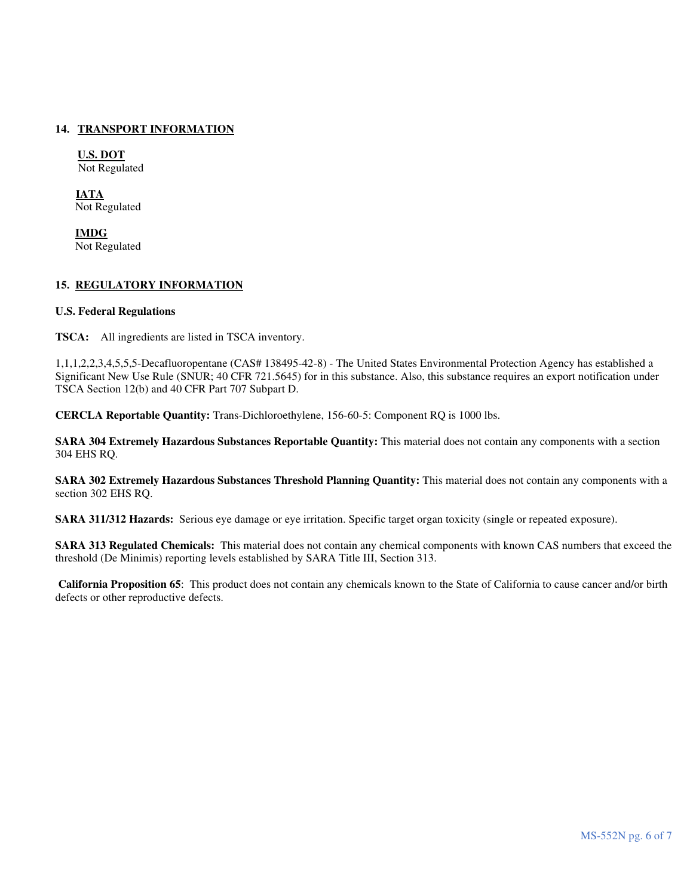## **14. TRANSPORT INFORMATION**

**U.S. DOT** Not Regulated

**IATA** Not Regulated

 **IMDG** Not Regulated

### **15. REGULATORY INFORMATION**

### **U.S. Federal Regulations**

**TSCA:** All ingredients are listed in TSCA inventory.

1,1,1,2,2,3,4,5,5,5-Decafluoropentane (CAS# 138495-42-8) - The United States Environmental Protection Agency has established a Significant New Use Rule (SNUR; 40 CFR 721.5645) for in this substance. Also, this substance requires an export notification under TSCA Section 12(b) and 40 CFR Part 707 Subpart D.

**CERCLA Reportable Quantity:** Trans-Dichloroethylene, 156-60-5: Component RQ is 1000 lbs.

**SARA 304 Extremely Hazardous Substances Reportable Quantity:** This material does not contain any components with a section 304 EHS RQ.

**SARA 302 Extremely Hazardous Substances Threshold Planning Quantity:** This material does not contain any components with a section 302 EHS RQ.

**SARA 311/312 Hazards:** Serious eye damage or eye irritation. Specific target organ toxicity (single or repeated exposure).

**SARA 313 Regulated Chemicals:** This material does not contain any chemical components with known CAS numbers that exceed the threshold (De Minimis) reporting levels established by SARA Title III, Section 313.

**California Proposition 65**: This product does not contain any chemicals known to the State of California to cause cancer and/or birth defects or other reproductive defects.